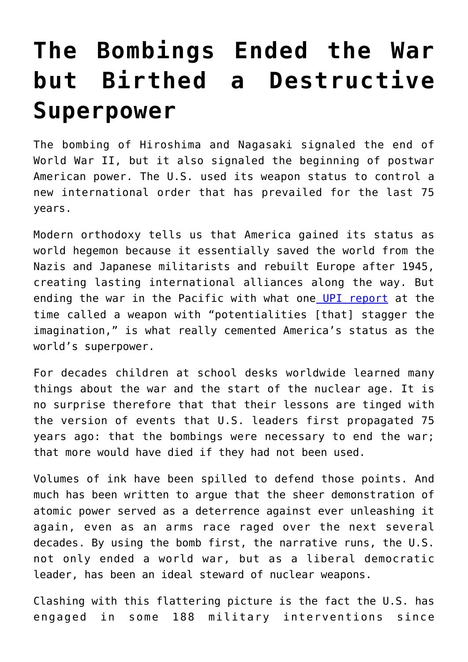## **[The Bombings Ended the War](https://intellectualtakeout.org/2020/08/the-bombings-ended-the-war-but-birthed-a-destructive-superpower/) [but Birthed a Destructive](https://intellectualtakeout.org/2020/08/the-bombings-ended-the-war-but-birthed-a-destructive-superpower/) [Superpower](https://intellectualtakeout.org/2020/08/the-bombings-ended-the-war-but-birthed-a-destructive-superpower/)**

The bombing of Hiroshima and Nagasaki signaled the end of World War II, but it also signaled the beginning of postwar American power. The U.S. used its weapon status to control a new international order that has prevailed for the last 75 years.

Modern orthodoxy tells us that America gained its status as world hegemon because it essentially saved the world from the Nazis and Japanese militarists and rebuilt Europe after 1945, creating lasting international alliances along the way. But ending the war in the Pacific with what one [UPI report](https://www.upi.com/Archives/1945/08/06/Truman-says-atomic-bomb-used-against-Japan/1611601354341/) at the time called a weapon with "potentialities [that] stagger the imagination," is what really cemented America's status as the world's superpower.

For decades children at school desks worldwide learned many things about the war and the start of the nuclear age. It is no surprise therefore that that their lessons are tinged with the version of events that U.S. leaders first propagated 75 years ago: that the bombings were necessary to end the war; that more would have died if they had not been used.

Volumes of ink have been spilled to defend those points. And much has been written to argue that the sheer demonstration of atomic power served as a deterrence against ever unleashing it again, even as an arms race raged over the next several decades. By using the bomb first, the narrative runs, the U.S. not only ended a world war, but as a liberal democratic leader, has been an ideal steward of nuclear weapons.

Clashing with this flattering picture is the fact the U.S. has engaged in some 188 military interventions since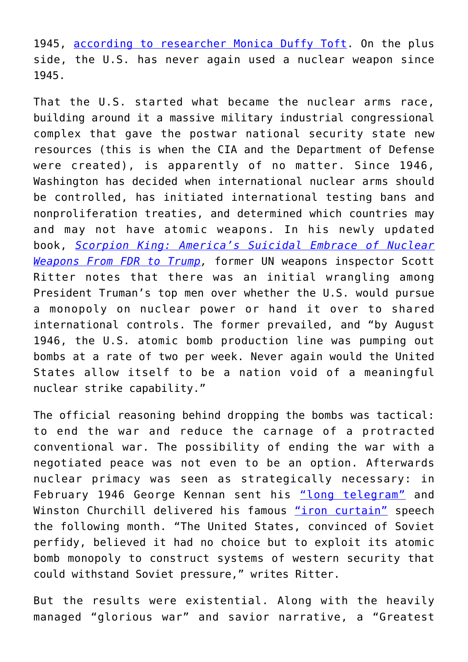1945, [according to researcher Monica Duffy Toft.](https://nationalinterest.org/feature/why-america-addicted-foreign-interventions-23582) On the plus side, the U.S. has never again used a nuclear weapon since 1945.

That the U.S. started what became the nuclear arms race, building around it a massive military industrial congressional complex that gave the postwar national security state new resources (this is when the CIA and the Department of Defense were created), is apparently of no matter. Since 1946, Washington has decided when international nuclear arms should be controlled, has initiated international testing bans and nonproliferation treaties, and determined which countries may and may not have atomic weapons. In his newly updated book, *[Scorpion King: America's Suicidal Embrace of Nuclear](https://www.amazon.com/gp/product/1949762181/ref=as_li_qf_asin_il_tl?ie=UTF8&tag=intelltakeo0d-20&creative=9325&linkCode=as2&creativeASIN=1949762181&linkId=a72d14e54508272690cbd3a2b2c52a33) [Weapons From FDR to Trump](https://www.amazon.com/gp/product/1949762181/ref=as_li_qf_asin_il_tl?ie=UTF8&tag=intelltakeo0d-20&creative=9325&linkCode=as2&creativeASIN=1949762181&linkId=a72d14e54508272690cbd3a2b2c52a33),* former UN weapons inspector Scott Ritter notes that there was an initial wrangling among President Truman's top men over whether the U.S. would pursue a monopoly on nuclear power or hand it over to shared international controls. The former prevailed, and "by August 1946, the U.S. atomic bomb production line was pumping out bombs at a rate of two per week. Never again would the United States allow itself to be a nation void of a meaningful nuclear strike capability."

The official reasoning behind dropping the bombs was tactical: to end the war and reduce the carnage of a protracted conventional war. The possibility of ending the war with a negotiated peace was not even to be an option. Afterwards nuclear primacy was seen as strategically necessary: in February 1946 George Kennan sent his ["long telegram"](https://www.history.com/this-day-in-history/george-kennan-sends-long-telegram-to-state-department) and Winston Churchill delivered his famous ["iron curtain"](https://www.history.com/this-day-in-history/churchill-delivers-iron-curtain-speech) speech the following month. "The United States, convinced of Soviet perfidy, believed it had no choice but to exploit its atomic bomb monopoly to construct systems of western security that could withstand Soviet pressure," writes Ritter.

But the results were existential. Along with the heavily managed "glorious war" and savior narrative, a "Greatest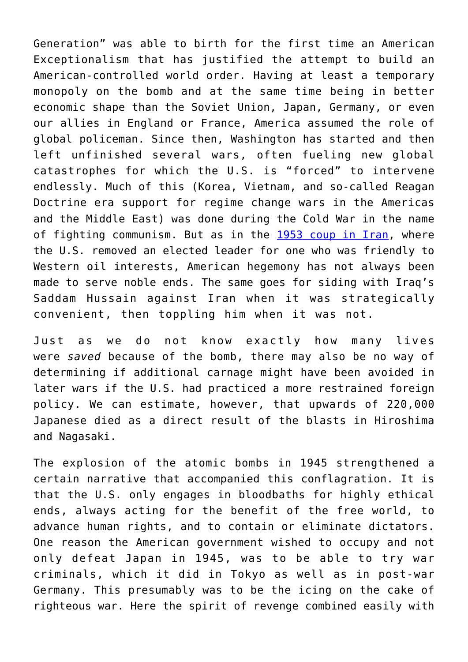Generation" was able to birth for the first time an American Exceptionalism that has justified the attempt to build an American-controlled world order. Having at least a temporary monopoly on the bomb and at the same time being in better economic shape than the Soviet Union, Japan, Germany, or even our allies in England or France, America assumed the role of global policeman. Since then, Washington has started and then left unfinished several wars, often fueling new global catastrophes for which the U.S. is "forced" to intervene endlessly. Much of this (Korea, Vietnam, and so-called Reagan Doctrine era support for regime change wars in the Americas and the Middle East) was done during the Cold War in the name of fighting communism. But as in the [1953 coup in Iran](https://www.npr.org/2019/01/31/690363402/how-the-cia-overthrew-irans-democracy-in-four-days), where the U.S. removed an elected leader for one who was friendly to Western oil interests, American hegemony has not always been made to serve noble ends. The same goes for siding with Iraq's Saddam Hussain against Iran when it was strategically convenient, then toppling him when it was not.

Just as we do not know exactly how many lives were *saved* because of the bomb, there may also be no way of determining if additional carnage might have been avoided in later wars if the U.S. had practiced a more restrained foreign policy. We can estimate, however, that upwards of 220,000 Japanese died as a direct result of the blasts in Hiroshima and Nagasaki.

The explosion of the atomic bombs in 1945 strengthened a certain narrative that accompanied this conflagration. It is that the U.S. only engages in bloodbaths for highly ethical ends, always acting for the benefit of the free world, to advance human rights, and to contain or eliminate dictators. One reason the American government wished to occupy and not only defeat Japan in 1945, was to be able to try war criminals, which it did in Tokyo as well as in post-war Germany. This presumably was to be the icing on the cake of righteous war. Here the spirit of revenge combined easily with